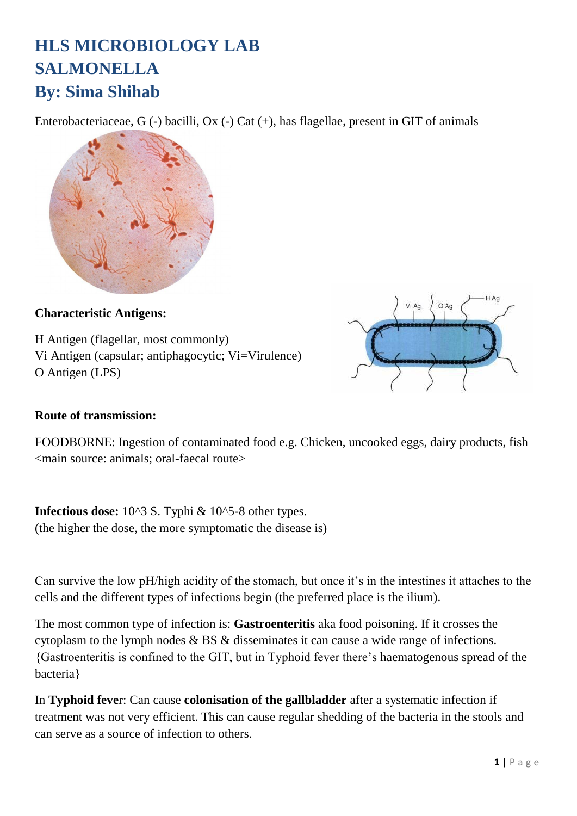# **HLS MICROBIOLOGY LAB SALMONELLA By: Sima Shihab**

Enterobacteriaceae, G (-) bacilli, Ox (-) Cat (+), has flagellae, present in GIT of animals



#### **Characteristic Antigens:**

H Antigen (flagellar, most commonly) Vi Antigen (capsular; antiphagocytic; Vi=Virulence) O Antigen (LPS)



#### **Route of transmission:**

FOODBORNE: Ingestion of contaminated food e.g. Chicken, uncooked eggs, dairy products, fish <main source: animals; oral-faecal route>

**Infectious dose:**  $10^{\text{A}}3$  S. Typhi &  $10^{\text{A}}5$ -8 other types. (the higher the dose, the more symptomatic the disease is)

Can survive the low pH/high acidity of the stomach, but once it's in the intestines it attaches to the cells and the different types of infections begin (the preferred place is the ilium).

The most common type of infection is: **Gastroenteritis** aka food poisoning. If it crosses the cytoplasm to the lymph nodes & BS & disseminates it can cause a wide range of infections. {Gastroenteritis is confined to the GIT, but in Typhoid fever there's haematogenous spread of the bacteria}

In **Typhoid feve**r: Can cause **colonisation of the gallbladder** after a systematic infection if treatment was not very efficient. This can cause regular shedding of the bacteria in the stools and can serve as a source of infection to others.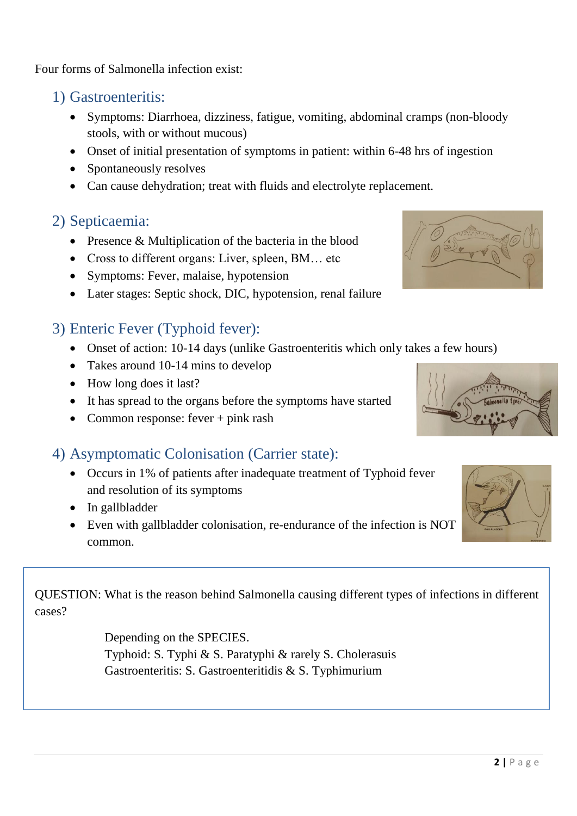Four forms of Salmonella infection exist:

- 1) Gastroenteritis:
	- Symptoms: Diarrhoea, dizziness, fatigue, vomiting, abdominal cramps (non-bloody stools, with or without mucous)
	- Onset of initial presentation of symptoms in patient: within 6-48 hrs of ingestion
	- Spontaneously resolves
	- Can cause dehydration; treat with fluids and electrolyte replacement.

## 2) Septicaemia:

- Presence & Multiplication of the bacteria in the blood
- Cross to different organs: Liver, spleen, BM... etc
- Symptoms: Fever, malaise, hypotension
- Later stages: Septic shock, DIC, hypotension, renal failure

## 3) Enteric Fever (Typhoid fever):

- Onset of action: 10-14 days (unlike Gastroenteritis which only takes a few hours)
- Takes around 10-14 mins to develop
- How long does it last?
- It has spread to the organs before the symptoms have started
- Common response: fever + pink rash

### 4) Asymptomatic Colonisation (Carrier state):

- Occurs in 1% of patients after inadequate treatment of Typhoid fever and resolution of its symptoms
- In gallbladder
- Even with gallbladder colonisation, re-endurance of the infection is NOT common.

QUESTION: What is the reason behind Salmonella causing different types of infections in different cases?

> Depending on the SPECIES. Typhoid: S. Typhi & S. Paratyphi & rarely S. Cholerasuis Gastroenteritis: S. Gastroenteritidis & S. Typhimurium





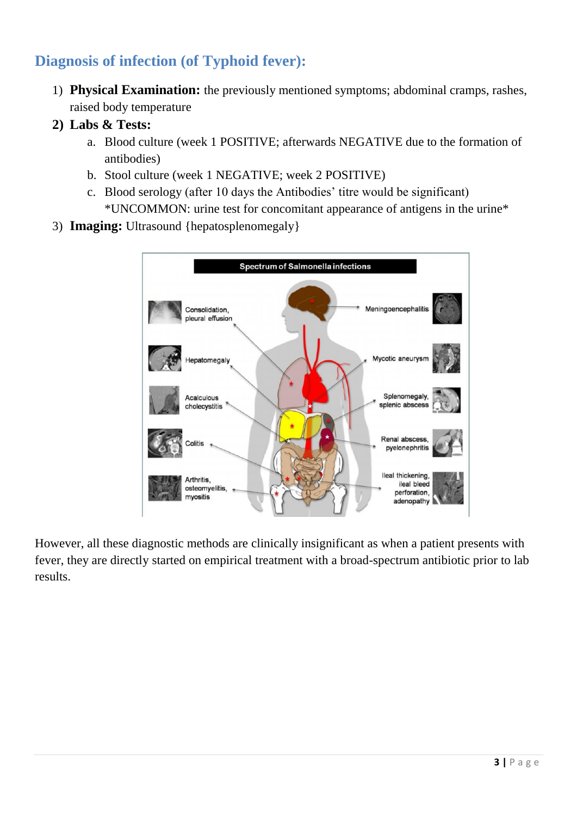# **Diagnosis of infection (of Typhoid fever):**

- 1) **Physical Examination:** the previously mentioned symptoms; abdominal cramps, rashes, raised body temperature
- **2) Labs & Tests:** 
	- a. Blood culture (week 1 POSITIVE; afterwards NEGATIVE due to the formation of antibodies)
	- b. Stool culture (week 1 NEGATIVE; week 2 POSITIVE)
	- c. Blood serology (after 10 days the Antibodies' titre would be significant) \*UNCOMMON: urine test for concomitant appearance of antigens in the urine\*
- 3) **Imaging:** Ultrasound {hepatosplenomegaly}



However, all these diagnostic methods are clinically insignificant as when a patient presents with fever, they are directly started on empirical treatment with a broad-spectrum antibiotic prior to lab results.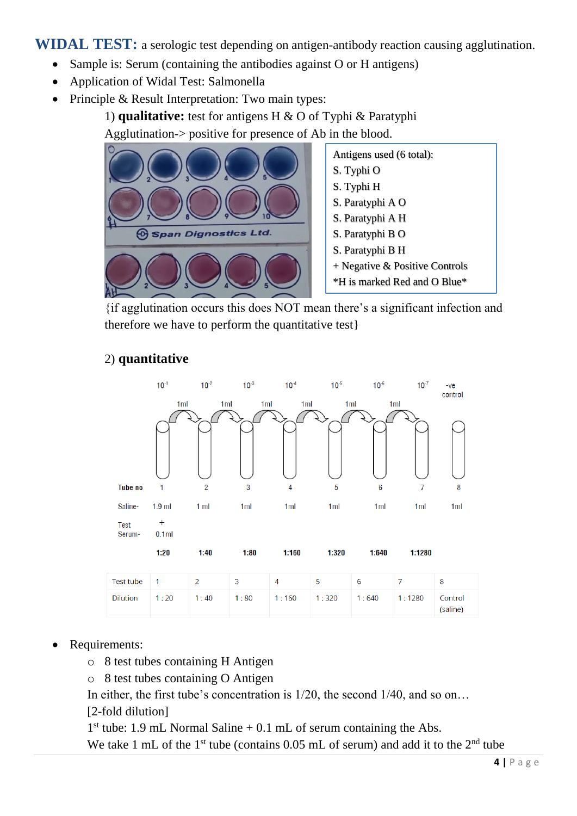**WIDAL TEST:** a serologic test depending on antigen-antibody reaction causing agglutination.

- Sample is: Serum (containing the antibodies against O or H antigens)
- Application of Widal Test: Salmonella
- Principle & Result Interpretation: Two main types:

1) **qualitative:** test for antigens H & O of Typhi & Paratyphi

Agglutination-> positive for presence of Ab in the blood.



Antigens used (6 total): S. Typhi O S. Typhi H S. Paratyphi A O S. Paratyphi A H S. Paratyphi B O S. Paratyphi B H + Negative & Positive Controls \*H is marked Red and O Blue\*

{if agglutination occurs this does NOT mean there's a significant infection and therefore we have to perform the quantitative test}



#### 2) **quantitative**

| Test tube       |      |      |      | 4     |       |       |          |                     |
|-----------------|------|------|------|-------|-------|-------|----------|---------------------|
| <b>Dilution</b> | 1:20 | 1:40 | 1:80 | 1:160 | 1:320 | 1:640 | 1 : 1280 | Control<br>(saline) |

#### Requirements:

- o 8 test tubes containing H Antigen
- o 8 test tubes containing O Antigen

In either, the first tube's concentration is 1/20, the second 1/40, and so on...

[2-fold dilution]

1<sup>st</sup> tube: 1.9 mL Normal Saline + 0.1 mL of serum containing the Abs.

We take 1 mL of the 1<sup>st</sup> tube (contains  $0.05$  mL of serum) and add it to the 2<sup>nd</sup> tube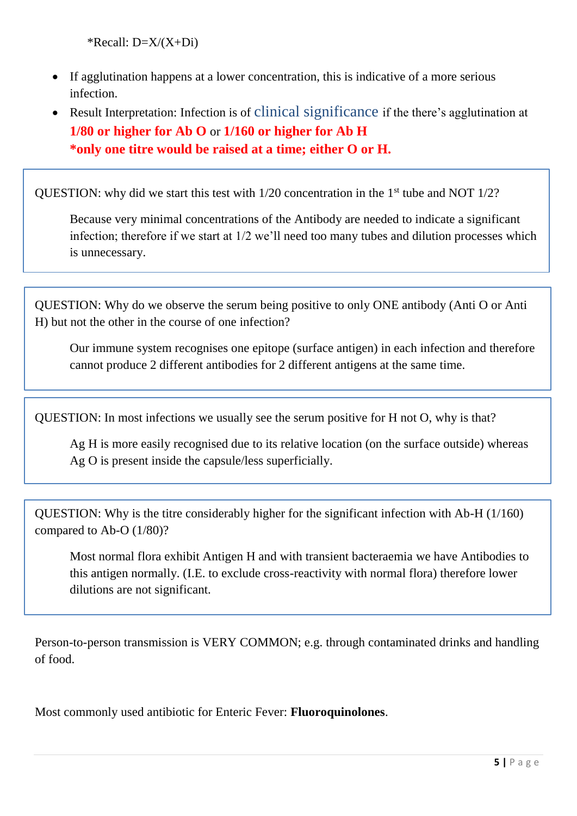\*Recall:  $D=X/(X+Di)$ 

- If agglutination happens at a lower concentration, this is indicative of a more serious infection.
- Result Interpretation: Infection is of clinical significance if the there's agglutination at **1/80 or higher for Ab O** or **1/160 or higher for Ab H \*only one titre would be raised at a time; either O or H.**

QUESTION: why did we start this test with  $1/20$  concentration in the  $1<sup>st</sup>$  tube and NOT  $1/2$ ?

Because very minimal concentrations of the Antibody are needed to indicate a significant infection; therefore if we start at 1/2 we'll need too many tubes and dilution processes which is unnecessary.

QUESTION: Why do we observe the serum being positive to only ONE antibody (Anti O or Anti H) but not the other in the course of one infection?

Our immune system recognises one epitope (surface antigen) in each infection and therefore cannot produce 2 different antibodies for 2 different antigens at the same time.

QUESTION: In most infections we usually see the serum positive for H not O, why is that?

Ag H is more easily recognised due to its relative location (on the surface outside) whereas Ag O is present inside the capsule/less superficially.

QUESTION: Why is the titre considerably higher for the significant infection with Ab-H (1/160) compared to Ab-O (1/80)?

Most normal flora exhibit Antigen H and with transient bacteraemia we have Antibodies to this antigen normally. (I.E. to exclude cross-reactivity with normal flora) therefore lower dilutions are not significant.

Person-to-person transmission is VERY COMMON; e.g. through contaminated drinks and handling of food.

Most commonly used antibiotic for Enteric Fever: **Fluoroquinolones**.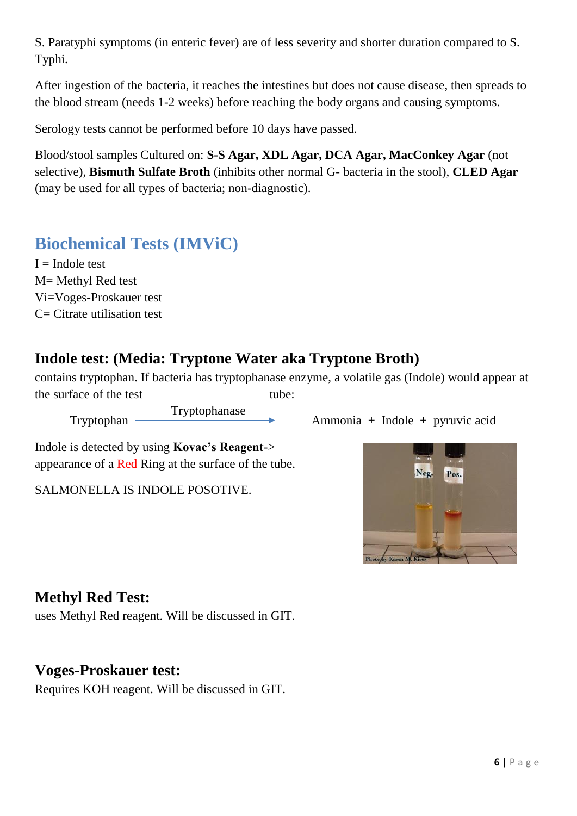S. Paratyphi symptoms (in enteric fever) are of less severity and shorter duration compared to S. Typhi.

After ingestion of the bacteria, it reaches the intestines but does not cause disease, then spreads to the blood stream (needs 1-2 weeks) before reaching the body organs and causing symptoms.

Serology tests cannot be performed before 10 days have passed.

Blood/stool samples Cultured on: **S-S Agar, XDL Agar, DCA Agar, MacConkey Agar** (not selective), **Bismuth Sulfate Broth** (inhibits other normal G- bacteria in the stool), **CLED Agar** (may be used for all types of bacteria; non-diagnostic).

# **Biochemical Tests (IMViC)**

 $I = Indole test$ M= Methyl Red test Vi=Voges-Proskauer test C= Citrate utilisation test

## **Indole test: (Media: Tryptone Water aka Tryptone Broth)**

contains tryptophan. If bacteria has tryptophanase enzyme, a volatile gas (Indole) would appear at the surface of the test tube:

Tryptophanase

Tryptophan — Tryptophanase Ammonia + Indole + pyruvic acid

Indole is detected by using **Kovac's Reagent**-> appearance of a Red Ring at the surface of the tube.

SALMONELLA IS INDOLE POSOTIVE.



uses Methyl Red reagent. Will be discussed in GIT.

### **Voges-Proskauer test:**

Requires KOH reagent. Will be discussed in GIT.

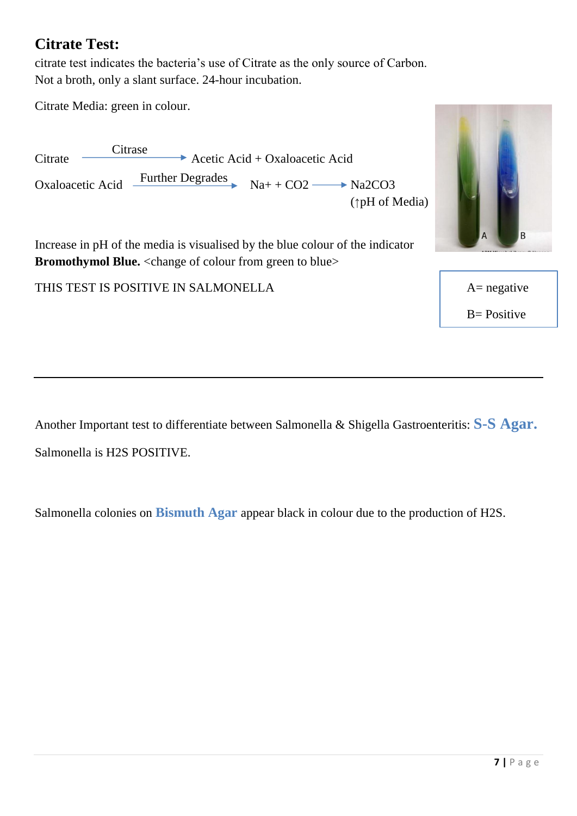### **Citrate Test:**

citrate test indicates the bacteria's use of Citrate as the only source of Carbon. Not a broth, only a slant surface. 24-hour incubation.

Citrate Media: green in colour.

 $Citrate \longrightarrow Acctic \text{Acid} + Oxaloacetic \text{Acid}$ Oxaloacetic Acid  $\frac{\text{Further Degrades}}{\text{Na+ + CO2} \rightarrow \text{Na2CO3}}$ (↑pH of Media) **Citrase** 

Increase in pH of the media is visualised by the blue colour of the indicator **Bromothymol Blue.** <change of colour from green to blue>

THIS TEST IS POSITIVE IN SALMONELLA <br>A= negative



 $B = Positive$ 

Another Important test to differentiate between Salmonella & Shigella Gastroenteritis: **S-S Agar.** Salmonella is H2S POSITIVE.

Salmonella colonies on **Bismuth Agar** appear black in colour due to the production of H2S.